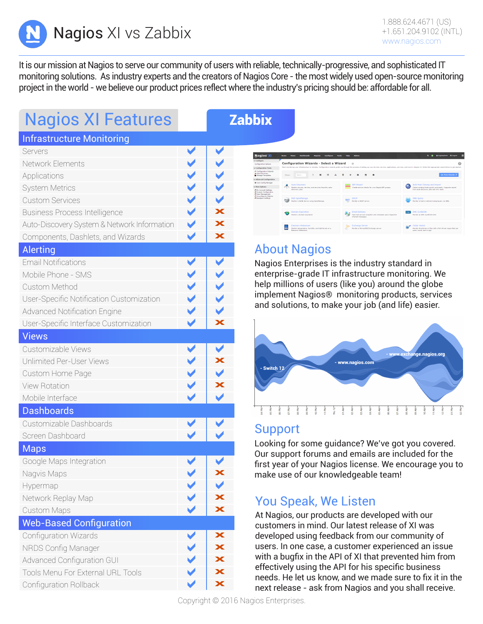Nagios XI vs Zabbix +1.651.204.9102 (INTL)

It is our mission at Nagios to serve our community of users with reliable, technically-progressive, and sophisticated IT monitoring solutions. As industry experts and the creators of Nagios Core - the most widely used open-source monitoring project in the world - we believe our product prices reflect where the industry's pricing should be: affordable for all.

# Nagios XI Features **Nagios XI** zabbix

### Infrastructure Monitoring

| Servers                                     |                      |                         |
|---------------------------------------------|----------------------|-------------------------|
| Network Elements                            | $\blacktriangledown$ |                         |
| Applications                                | $\blacktriangledown$ | $\leq$                  |
| <b>System Metrics</b>                       | $\blacktriangledown$ |                         |
| <b>Custom Services</b>                      | $\blacktriangledown$ | $\blacktriangledown$    |
| <b>Business Process Intelligence</b>        | $\blacktriangledown$ | $\overline{\textbf{x}}$ |
| Auto-Discovery System & Network Information | $\blacktriangledown$ | $\overline{\mathbf{x}}$ |
| Components, Dashlets, and Wizards           | $\blacktriangledown$ | X                       |
| <b>Alerting</b>                             |                      |                         |
| <b>Email Notifications</b>                  | ✔                    |                         |
| Mobile Phone - SMS                          | $\leq$               | 2522                    |
| Custom Method                               |                      |                         |
| User-Specific Notification Customization    | $\blacktriangledown$ |                         |
| <b>Advanced Notification Engine</b>         | $\blacktriangledown$ | $\blacktriangledown$    |
| User-Specific Interface Customization       | ✔                    | X                       |
| <b>Views</b>                                |                      |                         |
| Customizable Views                          | ✔                    | ✔                       |
| Unlimited Per-User Views                    | $\blacktriangledown$ | X                       |
| Custom Home Page                            | $\blacktriangledown$ | $\blacktriangledown$    |
| <b>View Rotation</b>                        | $\blacktriangledown$ | X                       |
| Mobile Interface                            | $\blacktriangledown$ | $\blacktriangledown$    |
| <b>Dashboards</b>                           |                      |                         |
| Customizable Dashboards                     |                      |                         |
| Screen Dashboard                            |                      |                         |
| <b>Maps</b>                                 |                      |                         |
| Google Maps Integration                     |                      |                         |
| Nagvis Maps                                 |                      | $\overline{\textbf{x}}$ |
| Hypermap                                    |                      |                         |
| Network Replay Map                          |                      | Х                       |
| <b>Custom Maps</b>                          |                      | $\overline{\textbf{x}}$ |
| <b>Web-Based Configuration</b>              |                      |                         |
| Configuration Wizards                       |                      | $\bm{\times}$           |
| NRDS Config Manager                         |                      | $\bm{x}$                |
| <b>Advanced Configuration GUI</b>           | $\sim$               | X                       |
| Tools Menu For External URL Tools           |                      | $\overline{\mathbf{x}}$ |
| Configuration Rollback                      |                      | $\overline{\mathbf{x}}$ |
|                                             |                      |                         |



### About Nagios

Nagios Enterprises is the industry standard in enterprise-grade IT infrastructure monitoring. We help millions of users (like you) around the globe implement Nagios® monitoring products, services and solutions, to make your job (and life) easier.



### Support

Looking for some guidance? We've got you covered. Our support forums and emails are included for the first year of your Nagios license. We encourage you to make use of our knowledgeable team!

### You Speak, We Listen

At Nagios, our products are developed with our customers in mind. Our latest release of XI was developed using feedback from our community of users. In one case, a customer experienced an issue with a bugfix in the API of XI that prevented him from effectively using the API for his specific business needs. He let us know, and we made sure to fix it in the next release - ask from Nagios and you shall receive.